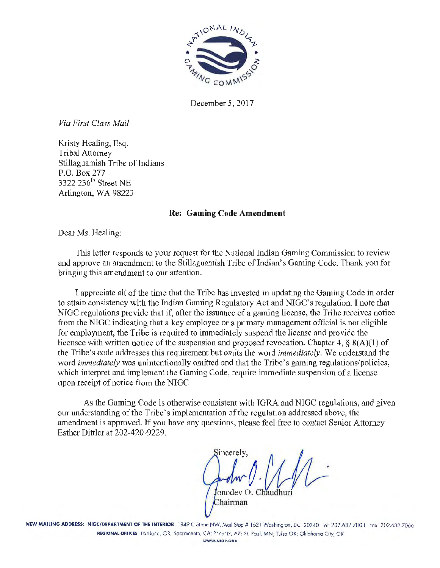

December 5, 2017

*Via First Class Mail* 

Kristy Healing, Esq. Tribal Attorney Stillaguamish Tribe of Indians P.O. Box 277 3322 236<sup>th</sup> Street NE Arlington, WA 98223

#### Re: Gaming Code Amendment

Dear Ms. Healing:

This letter responds to your request for the National Indian Gaming Commission to review and approve an amendment to the Stillaguamish Tribe of Indian's Gaming Code. Thank you for bringing this amendment to our attention.

T appreciate all of the time that the Tribe has invested in updating the Gaming Code in order to attain consistency with the Indian Gaming Regulatory Act and NIGC's reguJation. I note that NIGC regulations provide that if, after the issuance of a gaming license, the Trihe receives notice from the NIGC indicating that a key employee or a primary management official is not eligible for employment, the Tribe is required to immcdjately suspend the license and provide the licensee with written notice of the suspension and proposed revocation. Chapter 4,  $\S$  8(A)(1) of the Tribe's code addresses this requirement but omits the word *immediately.* We understand the word *immediately* was unintentionally omitted and that the Tribe's gaming regulations/policies, which interpret and implement the Gaming Code, require immediate suspension of a license upon receipt of notice from the NIGC.

As the Gaming Code is otherwise consistent with IGRA and NIGC regulations, and given our understanding of the Tribe's implementation of the regulation addressed above, the amendment is approved. If you have any questions, please feel free to contact Senior Attorney Esther Dittlcr at 202-420-9229.

incerely onodev Chairman

NEW MAILING ADDRESS: NIGC/DEPARTMENT OF THE INTERIOR 1849 C Street NW, Mail Stop # 1621 Washington, DC 20240 Tel: 202.632.7003 Fax: 202.632.7066 REGIONAL OFflCES Portland, OR; Sacramento, CA; Phoenix, AZ; St. Povl, MN; Tvlso OK; Oklahoma City, OK WWW.NIGC.GOV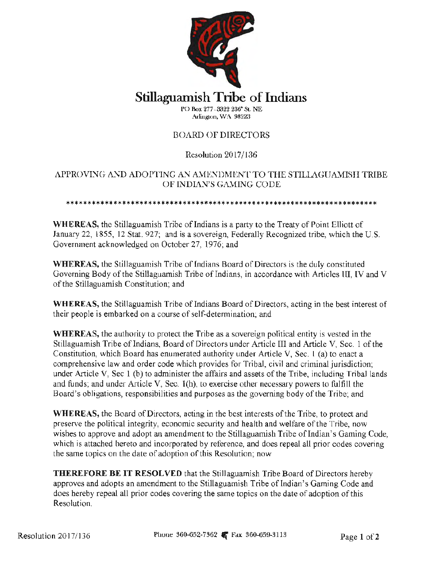

# Stillaguamish Tribe of Indians

PC> Rox 277 . 3322 236• SL NE Arlington, WA 98223

# BOARD Of DIRECTORS

# Resolution 2017/136

# APPROVING AND ADOPTING AN AMENDMENT TO THE STILLAGUAMISH TRIBE OF INDIAN'S GAMING CODE

\*\*\*\*\*\*\*\*\*\*\*\*\*\*\*\*\*\*\*\*\*\*\*\*\*\*\*\*\*\*\*\*\*\*\*\*\*\*\*\*\*\*\*\*\*\*\*\*\*\*\*\*\*\*\*\*\*\*\*\*\*\*\*\*\*\*\*\*\*\*\*\*

WHEREAS, the Stillaguamish Tribe of Indians is a party to the Treaty of Point Elliott of January 22, 1855, 12 Stat. 927; and is a sovereign, Federally Recognized tribe, which the U.S. Government acknowledged on October 27, 1976; and

WHEREAS, the Stillaguamish Tribe of lndians Board of Directors is the duly constituted Governing Body of the Stillaguamish Tribe of Indians, in accordance with Articles III, IV and V of the Stillaguamish Constitution; and

WHEREAS, the Stillaguamish Tribe of Indians Board of Directors, acting in the best interest of their people is embarked on a course of self-determination; and

WHEREAS, the authority to protect the Tribe as a sovereign political entity is vested in the Stillaguamish Tribe of Indians, Board of Directors under Article III and Article V, Sec. 1 of the Constitution, which Board has enumerated authority under Article V, Sec. I (a) to enact a comprehensive Law and order code which provides for Tribal, civil and criminal jurisdiction; under Article V, Sec 1 (b) to administer the affairs and assets of the Tribe, including TribaJ lands and funds; and under Article V, Sec. l(h), to exercise other necessary powers to fulfill the Board's obligations, responsibilities and purposes as the governing body of the Tribe; and

WHEREAS, the Board of Directors, acting in the best interests of the Tribe, to protect and preserve the political integrity, economic security and health and welfare of the Tribe, now wishes to approve and adopt an amendment to the Stillaguamish Tribe of Indian's Gaming Code, which is attached hereto and incorporated by reference, and does repeal all prior codes covering the same topics on the date of adoption of this Resolution; now

THEREFORE BE IT RESOLVED that the Stillaguamish Tribe Board of Directors hereby approves and adopts an amendment to the Stillaguamish Tribe of Indian's Gaming Code and does hereby repeal all prior codes covering the same topics on the date of adoption of this Resolution.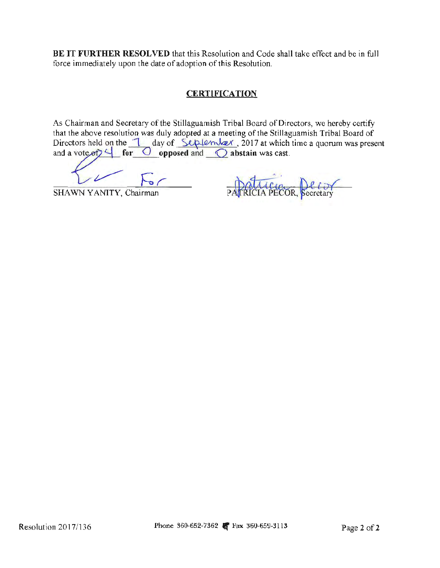**BE IT FURTHER RESOLVED** that this Resolution and Code shall take effect and be in full force immediately upon the date of adoption of this Resolution.

# **CERTIFICATION**

As Chairman and Secretary of the Stillaguamish Tribal Board of Directors, we hereby certify that the above resolution was duly adopted at a meeting of the Stillaguamish Tribal Board of As Chairman and Secretary of the Stillaguamish Tribal Board of Directors, we hereby certify that the above resolution was duly adopted at a meeting of the Stillaguamish Tribal Board of Directors held on the  $\frac{1}{\text{ day of } \text$ As Chairman and Secretary of the stinaguariism Thoat Board of Directors, we here that the above resolution was duly adopted at a meeting of the Stillaguarnish Tribal Birectors held on the  $\frac{1}{\text{day of } \text{Supplement}}$  day of  $\frac{\text{$ 

 $\frac{1}{\sqrt{5}}$  For patricia PECOR, fecretary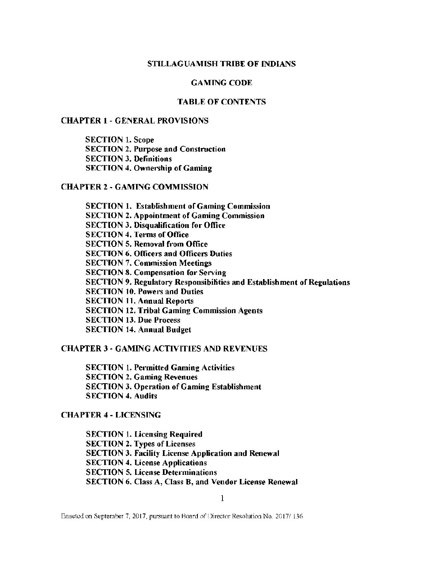#### STILLAGUAMISH TRIBE OF INDIANS

#### GAMING CODE

#### TABLE OF CONTENTS

#### CHAPTER 1 - GENERAL PROVISIONS

SECTION l. Scope SECTION 2. Purpose and Construction SECTION 3. Definitions **SECTION 4. Ownership of Gaming** 

#### CHAPTER 2 - GAMING COMMISSION

SECTION 1. Establishment of Gaming Commission SECTION 2. Appointment of Gaming Commission SECTION 3. Disqualification for Office SECTION 4. Terms of Office SECTION 5. Removal from Office **SECTION 6. Officers and Officers Duties** SECTION 7. Commission Meetings SECTION 8. Compensation for Serving SECTION 9. Regulatory Responsibilities and Establishment of Regulations SECTION 10. Powers and Duties SECTION 11. Annual Reports **SECTION 12. Tribal Gaming Commission Agents** SECTION 13. Due Process SECTION 14. Annual Budget

#### CHAPTER 3 - GAMING ACTIVITIES AND REVENUES

SECTION 1. Permitted Gaming Activities SECTION 2. Gaming Revenues SECTION 3. Operation of Gaming Establishment SECTION 4. Audits

#### CHAPTER 4 - LICENSING

SECTION 1. Licensing Required SECTION 2. Types of Licenses SECTION 3. Facility License Application and Renewal SECTION 4. License Applications SECTION 5. License Determinations SECTION 6. Class A, Class B, and Vendor License Renewal

 $\mathbf{I}$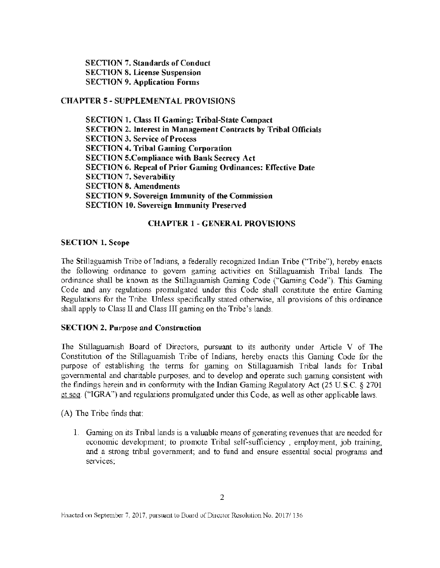SECTION 7. Standards of Conduct SECTION 8. License Suspension SECTION 9. Application Forms

## CHAPTER 5- SUPPLEMENTAL PROVISIONS

**SECTION 1. Class II Gaming: Tribal-State Compact** SECTION 2. Interest in Management Contracts by Tribal Officials SECTION 3. Service of Process **SECTION 4. Tribal Gaming Corporation** SECTION 5.Compliance with Bank Secrecy Act SECTION 6. Repeal of Prior Gaming Ordinances: Effective Date **SECTION 7. Severability** SECTION 8. Amendments SECTION 9. Sovereign Immunity of the Commission **SECTION 10. Sovereign Immunity Preserved** 

#### CHAPTER 1 - GENERAL PROVISIONS

#### SECTION l. Scope

The Stillaguamish Tribe of Indians, a federally recognized Indian Tribe ("Tribe"), hereby enacts the following ordinance to govern gaming activities on Stillaguarnish Tribal lands. The ordinance shall be known as the Stillaguamish Gaming Code ("Gaming Code"). This Gaming Code and any regulations promulgated under this Code shall constitute the entire Gaming Regulations for the Tribe. Unless specifically stated otherwise, all provisions of this ordinance shall apply to Class 11 and Class III gaming on the Tribe's lands.

#### SECTION 2. Purpose and Construction

The Stillaguamish Board of Directors, pursuant to its authority under Article V of The Constitution of the Stillaguamish Tribe of Indians, hereby enacts this Gaming Code for the purpose of establishing the terms for gaming on Stillaguamish Tribal lands for Tribal goverrunental and charitable purposes, and to develop and operate such gaming consistent with the findings herein and in conformity with the Indian Gaming Regulatory Act (25 U.S.C.  $\S 2701$ et seq. ("IGRA") and regulations promulgated under this Code, as well as other applicable laws.

(A) The Tribe finds that:

1. Gaming on its Tribal lands is a valuable means of generating revenues that are needed for economic development; to promote Tribal self-sufficiency , employment, job training, and a strong tribal government; and to fund and ensure essential social programs and services;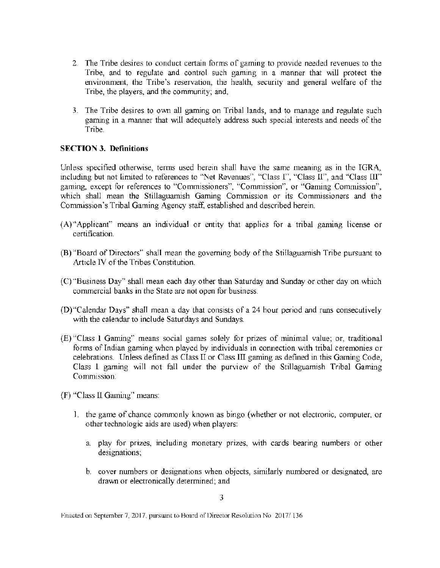- 2. The Tribe desires to conduct certain forms of gaming to provide needed revenues to the Tribe, and to regulate and control such gaming in a manner that will protect the environment, the Tribe's reservation, the health, security and general welfare of the Tribe, the players, and the community; and,
- 3. The Tribe desires to own all gaming on Tribal lands, and to manage and regulate such gaming in a manner that will adequately address such special interests and needs of the Tribe.

## SECTION 3. Definitions

Unless specified otherwise, terms used herein shall have the same meaning as in the IGRA, including but not limited to references to "Net Revenues", "Class I", "Class II", and "Class III" gaming, except for references to "Commissioners'', "Commission'', or "Gaming Commission", which shall mean the Stillaguamish Gaming Commission or its Commissioners and the Commission's Tribal Gaming Agency staff, established and described herein.

- (A)''Applicant" means an individual or entity that applies for a tribal gaming license or certification.
- (B) «Board of Directors" shall mean the governing body of the Stillaguamish Tribe pursuant to Article IV of the Tribes Constitution.
- (C) "Business Day" shall mean each day other than Saturday and Sunday or other day on which commercial banks in the State are not open for business.
- (D)"Calendar Days" shall mean a day that consists of a 24 hour period and nms consecutively with the calendar to include Saturdays and Sundays.
- (E) "Class l Gaming" means social games solely for prizes of minimal value; or, traditional forms of Indian gaming when played by individuals in connection with tribal ceremonies or celebrations. Unless defined as Class II or Class III gaming as defined in this Gaming Code, Class I gaming will not fall under the purview of the Stillaguamish Tribal Gaming Commission:
- (F) "Class ll Gaming" means:
	- I. the game of chance commonly known as bingo (whether or not electronic, computer, or other technologic aids are used) when players:
		- a. play for prizes, including monetary prizes, with cards bearing numbers or other designations;
		- b. cover numbers or designations when objects, similarly numbered or designated, are drawn or electronically determined; and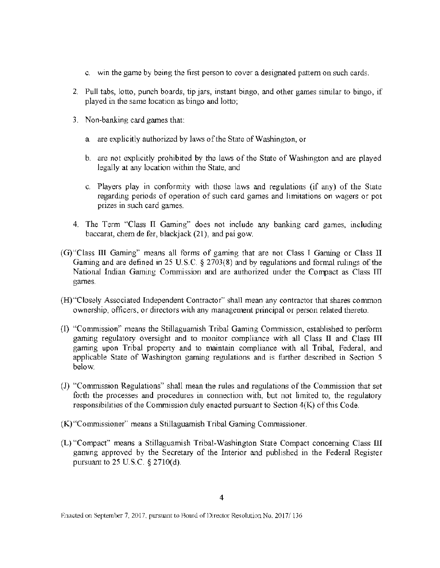- c. win the game by being the first person to cover a designated pattern on such cards.
- 2. Pull tabs, lotto, punch boards, tip jars, instant bingo, and other games similar to bingo, if played in the same location as bingo and lotto;
- 3. Non-banking card games that:
	- a. are explicitly authorized by laws of the State of Washington, or
	- b. are not explicitly prohibited by the laws of the State of Washington and are played legally at any location within the State, and
	- c. Players play in conformity with those laws and regulations (if any) of the State regarding periods of operation of such card games and limitations on wagers or pot prizes in such card games.
- 4. The Term "Class TI Gaming" does not include any banking card games, including baccarat, chem de fer, blackjack (21), and pai gow.
- (G)"Class Ill Gaming" means all forms of gaming that are not Class I Gaming or Class II Gaming and are defined in 25 U.S.C. § 2703(8) and by regulations and formal rulings of the National Indian Gaming Commission and are authorized under the Compact as Class TIT games.
- (H)"Closely Associated Independent Contractor" shall mean any contractor that shares common ownership, officers, or directors with any management principal or person related thereto.
- (1) "Commission" means the Stillaguamish Tribal Gaming Commission, established to perform gaming regulatory oversight and to monitor compliance with all Class II and Class TIT gaming upon Tribal property and to maintain compliance with all Tribal, Federal, and applicable State of Washington gaming regulations and is further described in Section 5 below.
- (J) "Commission Regulations" shall mean the rules and regulations of the Commission that set forth the processes and procedures in connection with, but not limited to, the regulatory responsibilities of the Commission duly enacted pursuant to Section 4(K) of this Code.
- (K) "Commissioner" means a Stillaguamish Tribal Gaming Commissioner.
- (L) "Compact" means a Stillaguarnish Tribal-Washington State Compact concerning Class Ill gaming approved by the Secretary of the Interior and published in the Federal Register pursuant to  $25$  U.S.C.  $\frac{2710}{d}$ .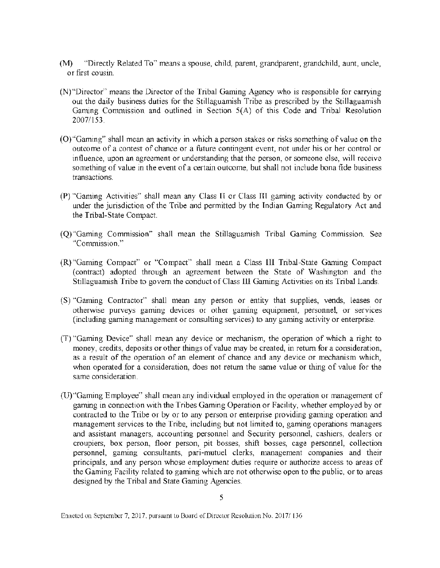- (M) "Directly Related To" means a spouse, child, parent, grandparent, grandchild, aunt, uncle, or first cousin.
- (N)"Director" means the Director of the Tribal Gaming Agency who is responsible for carrying out the daily business duties for the Stillaguamish Tribe as prescribed by the Stillaguamish Gaming Commission and outlined in Section 5(A) of this Code and Tribal Resolution 2007/153.
- (O)"Gaming" shall mean an activity in which a person stakes or risks something of value on the outcome of a contest of chance or a future contingent event, not under his or her control or influence, upon an agreement or understanding that the person, or someone else, will receive something of value in the event of a certain outcome, but shall not include bona fide business transactions.
- (P} "Gaming Activities" shall mean any Class Tl or Class m gaming activity conducted by or under the jurisdiction of the Tribe and permitted by the Indian Gaming Regulatory Act and the Tribal-State Compact.
- (Q)"Gaming Commission" shall mean the Stillaguamish Tribal Gaming Commission. See "Commission."
- (R)"Gaming Compact" or "Compact" shall mean a Class III Tribal-State Gaming Compact (contract) adopted through an agreement between the State of Washington and the Stillaguamish Tribe to govern the conduct of Class Ill Gaming Activities on its Tribal Lands.
- (S) "Gaming Contractor" shall mean any person or entity that supplies, vends, leases or otherwise purveys gaming devices or other gaming equipment, personnel, or services (including gaming management or consulting services) to any gaming activity or enterprise.
- (T) "Gaming Device" shall mean any device or mechanism, the operation of which a right to money, credits, deposits or other things of value may be created, in return for a consideration, as a result of the operation of an element of chance and any device or mechanism which, when operated for a consideration, does not return the same value or thing of value for the same consideration.
- (U)''Gaming Employee" shall mean any individual employed in the operation or management of gaming in connection with the Tribes Gaming Operation or Facility, whether employed by or contracted to the Tribe or by or to any person or enterprise providing gaming operation and management services to the Tribe, including but not limited to, gaming operations managers and assistant managers, accounting personnel and Security personnel, cashiers, dealers or croupiers, box person, floor person, pit bosses, shift bosses, cage personnel, collection personnel, gaming consultants, pari-mutuel clerks, management companies and their principals, and any person whose employment duties require or authorize access to areas of the Gaming Facility related to gaming which are not otherwise open to the public, or to areas designed by the Tribal and State Gaming Agencies.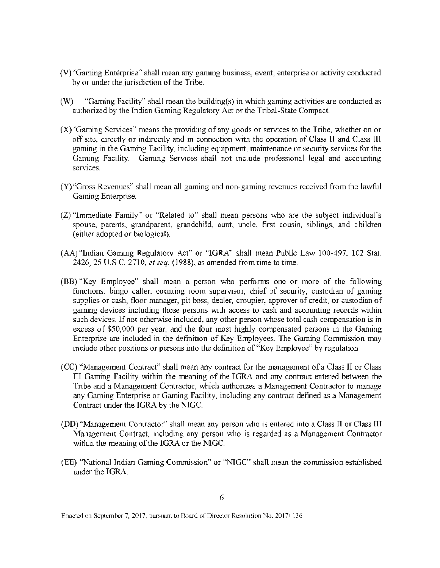- (V)"Gaming Enterprise" shall mean any gaming business, event, enterprise or activity conducted by or under the jurisdiction of the Tribe.
- (W) "Gaming Facility" shall mean the building(s) in which gaming activities are conducted as authorized by the Indian Gaming Regulatory Act or the Tribal-State Compact.
- (X)"Gaming Services" means the providing of any goods or services to the Tribe, whether on or off site, directly or indirectly and in connection with the operation of Class **TT** and Class **TIT**  gaming in the Gaming Facility, including equipment, maintenance or security services for the Gaming Facility. Gaming Services shall not include professional legal and accounting services.
- (Y)"Gross Revenues" shall mean all gaming and non-gaming revenues received from the lawful Gaming Enterprise.
- (Z) "Immediate Family" or "Related to" shall mean persons who are the subject individual's spouse, parents, grandparent, grandchild, aunt, uncle, first cousin, siblings, and children (either adopted or biological).
- (AA)"Indian Gaming Regulatory Act" or "IGRA" shall mean Public Law 100-497, 102 Stat. 2426, 25 U.S.C. 2710, *et seq.* (1988), as amended from time to time.
- (BB) "Key Employee" shall mean a person who performs one or more of the following functions: bingo caller, counting room supervisor, chief of security, custodian of gaming supplies or cash, floor manager, pit boss, dealer, croupier, approver of credit, or custodian of gaming devices including those persons with access to cash and accounting records within such devices. If not otherwise included, any other person whose total cash compensation is in excess of \$50,000 per year, and the four most highly compensated persons in the Gaming Enterprise are included in the definition of Key Employees. The Gaming Commission may include other positions or persons into the definition of "Key Employee" by regulation.
- (CC) "Management Contract" shall mean any contract for the management of a Class II or Class III Gaming Facility within the meaning of the IGRA and any contract entered between the Tribe and a Management Contractor, which authorizes a Management Contractor to manage any Gaming Enterprise or Gaming Facility, including any contract defined as a Management Contract under the IGRA by the NIGC.
- **(DD)** "Management Contractor" shall mean any person who is entered into a Class II or Class III Management Contract, including any person who is regarded as a Management Contractor within the meaning of the IGRA or the NIGC.
- (EE) "National Indian Gaming Commission" or "NIGC" shall mean the commission established under the TGRA.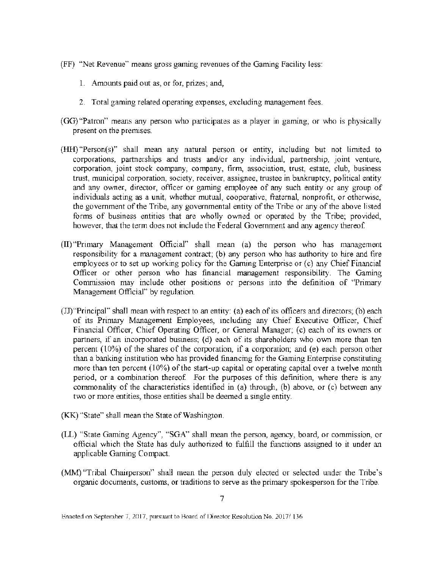- (FF) "Net Revenue" means gross gaming revenues of the Gaming Facility less:
	- 1. Amounts paid out as, or for, prizes; and,
	- 2. Total gaming related operating expenses, excluding management fees.
- (GG)"Patron" means any person who participates as a player in gaming, or who is physically present on the premises.
- (HH) "Person(s)" shall mean any natural person or entity, including but not limited to corporations, partnerships and trusts and/or any individual, partnership, joint venture, corporation, joint stock company, company, firm, association, trust, estate, club, business trust, municipal corporation, society, receiver, assignee, trustee in bankruptcy, political entity and any owner, director, officer or gaming employee of any such entity or any group of individuals acting as a unit, whether mutual, cooperative, fraternal, nonprofit, or otherwise, the government of the Tribe, any governmental entity of the Tribe or any of the above listed forms of business entities that are wholly owned or operated by the Tribe; provided, however, that the term does not include the Federal Government and any agency thereof.
- (II) "Primary Management Official" shall mean (a) the person who has management responsibility for a management contract; (b) any person who has authority to hire and fire employees or to set up working policy for the Gaming Enterprise or (c) any Chief Financial Officer or other person who has financial management responsibility. The Gaming Commission may include other positions or persons into the definition of "Primary Management Official" by regulation.
- (JJ)"Principal" shall mean with respect to an entity: (a) each of its officers and directors; (b) each of its Primary Management Employees, including any Chief Executive Officer, Chief Financial Officer, Chief Operating Officer, or General Manager; (c) each of its owners or partners, if an incorporated business; (d) each of its shareholders who own more than ten percent  $(10\%)$  of the shares of the corporation, if a corporation; and (e) each person other than a banking institution who has provided financing for the Gaming Enterprise constituting more than ten percent (10%) of the start-up capital or operating capital over a twelve month period, or a combination thereof. For the purposes of this definition, where there is any commonality of the characteristics identified in (a) through, (b) above, or (c) between any two or more entities, those entities shall be deemed a single entity.
- (KK) "State" shall mean the State of Washington.
- (LL) "State Gaming Agency", "SGA" shall mean the person, agency, board, or commission, or official which the State has duly authorized to fulfill the functions assigned to it under an applicable Gaming Compact.
- (MM) "Tribal Chairperson" shall mean the person duly elected or selected under the Tribe's organic documents, customs, or traditions to serve as the primary spokesperson for the Tribe.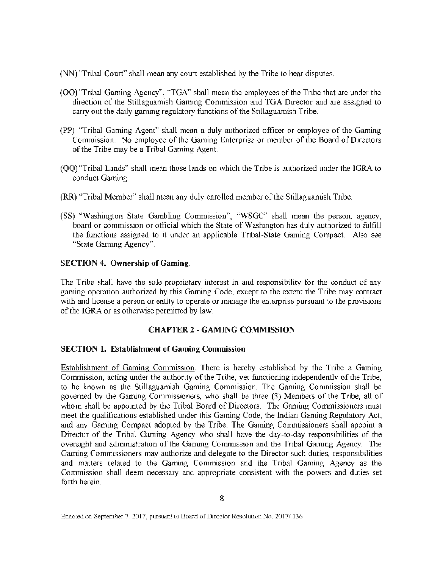- (NN) "Tribal Court" shall mean any court established by the Tribe to hear disputes.
- (00) "Tribal Gaming Agency", "TGA" shall mean the employees of the Tribe that are under the direction of the Stillaguamish Gaming Commission and TGA Director and are assigned to carry out the daily gaming regulatory functions of the Stillaguamish Tribe.
- (PP) "Tribal Gaming Agent" shall mean a duly authorized officer or employee of the Gaming Commission. No employee of the Gaming Enterprise or member of the Board of Directors of the Tribe may be a Tribal Gaming Agent.
- (QQ) "Tribal Lands" shaH mean those lands on which the Tribe is authorized under the IGRA to conduct Gaming.
- (RR) "Tribal Member" shall mean any duly enrolled member of the Stillaguamish Tribe.
- (SS) "Washington State Gambling Commission", "WSGC" shall mean the person, agency, board or commission or official which the State of Washington has duly authorized to fulfill the functions assigned to it under an applicable Tribal-State Gaming Compact. Also see "State Gaming Agency".

## SECTION 4. Ownership of Gaming.

The Tribe shall have the sole proprietary interest in and responsibility for the conduct of any gaming operation authorized by this Gaming Code, except to the extent the Tribe may contract with and license a person or entity to operate or manage the enterprise pursuant to the provisions of the IGRA or as otherwise permitted by law.

# **CHAPTER** 2 - GAMING COMMISSION

## SECTION 1. Establishment of Gaming Commission

Establishment of Gaming Commission. There is hereby established by the Tribe a Gaming Commission, acting under the authority of the Tribe, yet functioning independently of the Tribe, to be known as the Stillaguamish Gaming Commission. The Gaming Commission shall be governed by the Gaming Commissioners, who shall be three (3) Members of the Tribe, all of whom shall be appointed by the Tribal Board of Directors. The Gaming Commissioners must meet the qualifications established under this Gaming Code, the Indian Gaming Regulatory Act, and any Gaming Compact adopted by the Tribe. The Gaming Commissioners shall appoint a Director of the Tribal Gaming Agency who shall have the day-to-day responsibilities of the oversight and administration of the Gaming Commission and the Tribal Gaming Agency. The Gaming Commissioners may authorize and delegate to the Director such duties, responsibilities and matters related to the Gaming Commission and the Tribal Gaming Agency as the Commission shall deem necessary and appropriate consistent with the powers and duties set forth herein.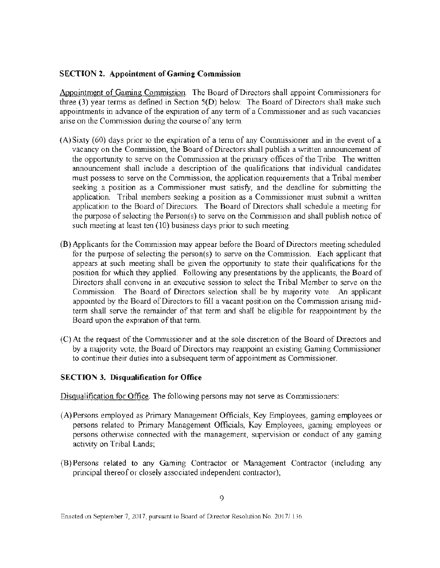## SECTION 2. Appointment of Gaming Commission

Appointment of Gaming Commission. The Board of Directors shall appoint Commissioners for three  $(3)$  year terms as defined in Section  $5(D)$  below. The Board of Directors shall make such appointments in advance of the expiration of any term of a Commissioner and as such vacancies arise on the Commission during the course of any term.

- (A) Sixty (60) days prior to the expiration of a term of any Commissioner and in the event of a vacancy on the Commission, the Board of Directors shall publish a written announcement of the opportunity to serve on the Commission at the primary offices of the Tribe. The written announcement shall include a description of the qualifications that individual candidates must possess to serve on the Commission, the application requirements that a Tribal member seeking a position as a Commissioner must satisfy, and the deadline for submitting the application. Tribal members seeking a position as a Commissioner must submit a written application to the Board of Directors. The Board of Directors shall schedule a meeting for the purpose of selecting the Person(s) to serve on the Commission and shall publish notice of such meeting at least ten (10) business days prior to such meeting.
- (B) Applicants for the Commission may appear before the Board of Directors meeting scheduled for the purpose of selecting the person(s) to serve on the Commission. Each applicant that appears at such meeting shall be given the opportunity to state their qualifications for the position for which they applied. Following any presentations by the applicants, the Board of Directors shall convene in an executive session to select the Tribal Member to serve on the Commission. The Board of Directors selection shall be by majority vote. An applicant appointed by the Board of Directors to fill a vacant position on the Commission arising midterm shall serve the remainder of that term and shall be eligible for reappointment by the Board upon the expiration of that term.
- (C) At the request of the Commissioner and at the sole discretion of the Board of Directors and by a majority vote, the Board of Directors may reappoint an existing Gaming Commissioner to continue their duties into a subsequent term of appointment as Commissioner.

# SECTION 3. Disqualification for Office

Disqualification for Office. The following persons may not serve as Commissioners:

- (A)Persons employed as Primary Management Officials, Key Employees, gaming employees or persons related to Primary Management Officials, Key Employees, gaming employees or persons otherwise connected with the management, supervision or conduct of any gaming activity on Tribal Lands;
- (B) Persons related to any Gaming Contractor or l\llanagement Contractor (including any principal thereof or closely associated independent contractor);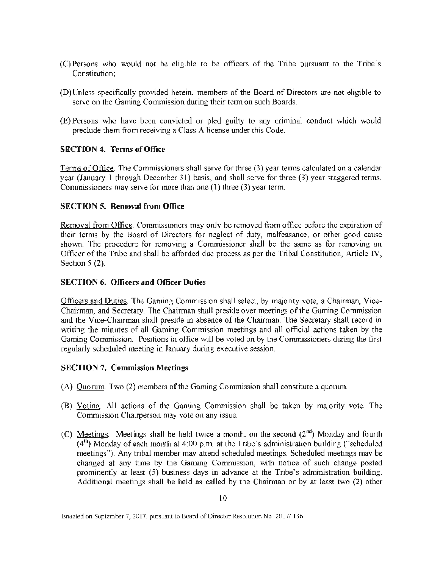- (C) Persons who would not be eligible to be officers of the Tribe pursuant to the Tribe's Constitution;
- (D) Unless specifically provided herein, members of the Board of Directors are not eligible to serve on the Gaming Commission during their term on such Boards.
- (E) Persons who have been convicted or pied guilty to any criminal conduct which would preclude them from receiving a Class A license under this Code.

# SECTION 4. Terms of Office

Terms of Office. The Commissioners shall serve for three (3) year terms calculated on a calendar year (January l through December 31) basis, and shall serve for three (3) year staggered terms. Commissioners may serve for more than one  $(1)$  three  $(3)$  year term.

## SECTION 5. Removal from Office

Removal from Office. Commissioners may only be removed from office before the expiration of their terms by the Board of Directors for neglect of duty, malfeasance, or other good cause shown. The procedure for removing a Commissioner shall be the same as for removing an Officer of the Tribe and shall be afforded due process as per the Tribal Constitution, Article IV, Section 5 (2).

#### SECTION 6. Officers and Officer Duties

Officers and Duties. The Gaming Commission shall select, by majority vote, a Chairman, Vice-Chairman, and Secretary. The Chairman shall preside over meetings of the Gaming Commission and the Vice-Chairman shall preside in absence of the Chairman. The Secretary shall record in writing the minutes of all Gaming Commission meetings and all official actions taken by the Gaming Commission. Positions in office will be voted on by the Commissioners during the first regularly scheduled meeting in January during executive session.

## SECTION 7. Commission Meetings

- (A) Quorum. Two (2) members of the Gaming Commission shall constitute a quorum.
- (B) Voting. All actions of the Gaming Commission shall be taken by majority vote. The Commission Chairperson may vote on any issue.
- (C) Meetings. Meetings shall be held twice a month, on the second  $(2^{nd})$  Monday and fourth  $(4<sup>th</sup>)$  Monday of each month at  $4:00$  p.m. at the Tribe's administration building ("scheduled meetings"). Any tribal member may attend scheduled meetings. Scheduled meetings may be changed at any time by the Gaming Commission, with notice of such change posted prominently at least (5) business days in advance at the Tribe's administration building. Additional meetings shall be held as called by the Chairman or by at least two (2) other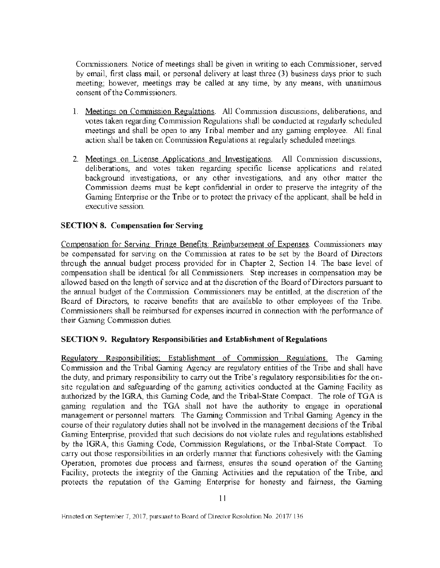Commissioners. Notice of meetings shall be given in writing to each Commissioner, served by email, first class mail, or personal delivery at least three (3) business days prior to such meeting; however, meetings may be called at any time, by any means, with unanimous consent of the Commissioners.

- 1. Meetings on Commission Regulations. All Commission discussions, deliberations, and votes taken regarding Commission Regulations shall be conducted at regularly scheduled meetings and shall be open to any Tribal member and any gaming employee. All final action shall be taken on Commission Regulations at regularly scheduled meetings.
- 2. Meetings on License Applications and Investigations. All Commission discussions, deliberations, and votes taken regarding specific license applications and related background investigations, or any other investigations, and any other matter the Commission deems must be kept confidential in order to preserve the integrity of the Gaming Enterprise or the Tribe or to protect the privacy of the applicant, shall be held in executive session.

#### SECTION 8. Compensation for Serving

Compensation for Serving: Fringe Benefits: Reimbursement of Expenses. Commissioners may be compensated for serving on the Commission at rates to be set by the Board of Directors through the annual budget process provided for in Chapter 2, Section 14. The base level of compensation shall be identical for all Commissioners. Step increases in compensation may be allowed based on the length of service and at the discretion of the Board of Directors pursuant to the annual budget of the Commission. Commissioners may be entitled, at the discretion of the Board of Directors, to receive benefits that are available to other employees of the Tribe. Commissioners shall be reimbursed for expenses incurred in connection with the performance of their Gaming Commission duties.

#### SECTION 9. Regulatory Responsibilities and Establishment of Regulations

Regulatory Responsibilities: Establishment of Commission Regulations. The Gaming Commission and the Tribal Gaming Agency are regulatory entities of the Tribe and shall have the duty, and primary responsibility to carry out the Tribe's regulatory responsibilities for the onsite regulation and safeguarding of the gaming activities conducted at the Gaming Facility as authorized by the IGRA, this Gaming Code, and the Tribal-State Compact. The role of TGA is gaming regulation and the TGA shall not have the authority to engage in operational management or personnel matters. The Gaming Commission and Tribal Gaming Agency in the course of their regulatory duties shall not be involved in the management decisions of the Tribal Gaming Enterprise, provided that such decisions do not violate rules and regulations established by the IGRA, this Gaming Code, Commission Regulations, or the Tribal-State Compact. To carry out those responsibilities in an orderly manner that functions cohesively with the Gaming Operation, promotes due process and fairness, ensures the sound operation of the Gaming Facility, protects the integrity of the Gaming Activities and the reputation of the Tribe, and protects the reputation of the Gaming Enterprise for honesty and fairness, the Gaming

Enacted on September 7, 2017, pursuant to Board of Director Resolution No. 2017/136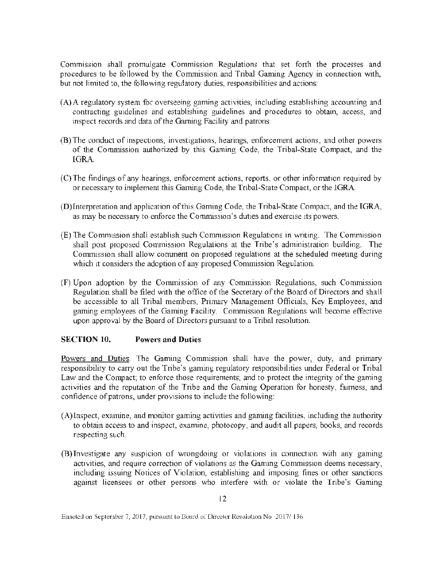Commission shall promulgate Commission Regulations that set forth the processes and procedures to be followed by the Commission and Tribal Gaming Agency in connection with., but not limited to, the following regulatory duties, responsibilities and actions:

- (A)A regulatory system for overseeing gaming activities, including establishing accounting and contracting guidelines and establishing guidelines and procedures to obtain, access, and inspect records and data of the Gaming Facility and patrons.
- (B) The conduct of inspections, investigations, hearings, enforcement actions, and other powers of the Commission authorized by this Gaming Code, the Tribal-State Compact, and the lGRA.
- (C) The findings of any hearings, enforcement actions, reports, or other information required by or necessary to implement this Gaming Code, the Tribal-State Compact, or the lGRA.
- (D)lnterpretation and application of this Gaming Code, the Tribal-State Compact, and the IGRA, as may be necessary to enforce the Commission's duties and exercise its powers.
- (E) The Commission shall establish such Commission Regulations in writing. The Commission shall post proposed Commission Regulations at the Tribe's administration building. The Commission shall allow comment on proposed regulations at the scheduled meeting during which it considers the adoption of any proposed Commission Regulation.
- (F) Upon adoption by the Commission of any Commission Regulations, such Commission Regulation shall be filed with the office of the Secretary of the Board of Directors and shall be accessible to all Tribal members, Primary Management Officials, Key Employees, and gaming employees of the Gaming Facility. Commission Regulations will become effective upon approval by the Board of Directors pursuant to a Tribal resolution.

## SECTION 10. Powers and Duties

Powers and Duties. The Gaming Commission shall have the power, duty, and primary responsibility to carry out the Tribe's gaming regulatory responsibilities under Federal or Tribal Law and the Compact; to enforce those requirements; and to protect the integrity of the gaming activities and the reputation of the Tribe and the Gaming Operation for honesty, fairness, and confidence of patrons, under provisions to include the following:

- (A) Inspect, examine, and monitor gaming activities and gaming facilities, including the authority to obtain access to and inspect, examine, photocopy, and audit all papers, books, and records respecting such.
- (B) Investigate any suspicion of wrongdoing or violations in connection with any gaming activities, and require correction of violations as the Gaming Commission deems necessary, including issuing Notices of Violation, establishing and imposing fines or other sanctions against licensees or other persons who interfere with or violate the Tribe's Gaming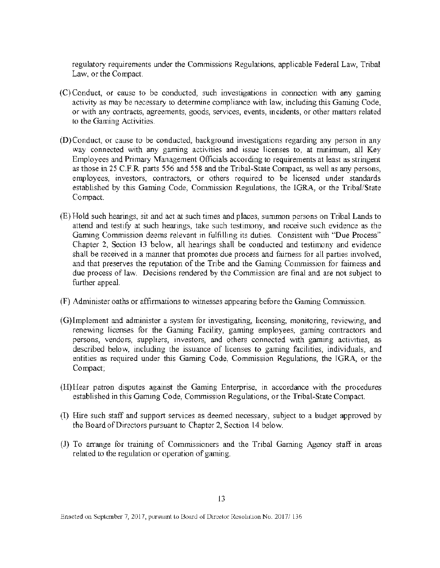regulatory requirements wider the Commissions Regulations, applicable Federal Law, Tribal Law, or the Compact.

- (C)Conduct, or cause to be conducted, such investigations in connection with any gaming activity as may be necessary to determine compliance with law, including this Gaming Code, or with any contracts, agreements, goods, services, events, incidents, or other matters related to the Gaming Activities.
- $(D)$ Conduct, or cause to be conducted, background investigations regarding any person in any way connected with any gaming activities and issue licenses to, at minimum, all Key Employees and Primary Management Officials according to requirements at least as stringent as those in 25 C.F.R. parts 556 and 558 and the Tribal-State Compact, as well as any persons, employees, investors, contractors, or others required to be licensed under standards established by this Gaming Code, Commission Regulations, the lGRA, or the Tribal/State Compact.
- (E) Hold such hearings, sit and act at such times and places, summon persons on Tribal Lands to attend and testify at such hearings, take such testimony, and receive such evidence as the Gaming Commission deems relevant in fulfilling its duties. Consistent with "Due Process" Chapter 2, Section 13 below, all hearings shall be conducted and testimony and evidence shall be received in a manner that promotes due process and fairness for all parties involved, and that preserves the reputation of the Tribe and the Gaming Commission for fairness and due process of law. Decisions rendered by the Commission are final and are not subject to further appeal
- (F) Administer oaths or affirmations to witnesses appearing before the Gaming Corrunission.
- (G)lmplement and administer a system for investigating, licensing, monitoring, reviewing, and renewing licenses for the Gaming Facility, gaming employees, gaming contractors and persons, vendors, supphers, investors, and others connected with gaming activities, as described below, including the issuance of licenses to gaming facilities, individuals, and entities as required under this Gaming Code, Commission Regulations, the IGRA, or the Compact;
- (H)Hear patron disputes against the Gaming Enterprise, in accordance with the procedures established in this Gaming Code, Commission Regulations, or the Tribal-State Compact.
- (I) Hire such staff and support services as deemed necessary, subject to a budget approved by the Board of Directors pursuant to Chapter 2, Section 14 below.
- (J) To arrange for training of Commissioners and the Tribal Gaming Agency staff in areas related to the regulation or operation of gaming.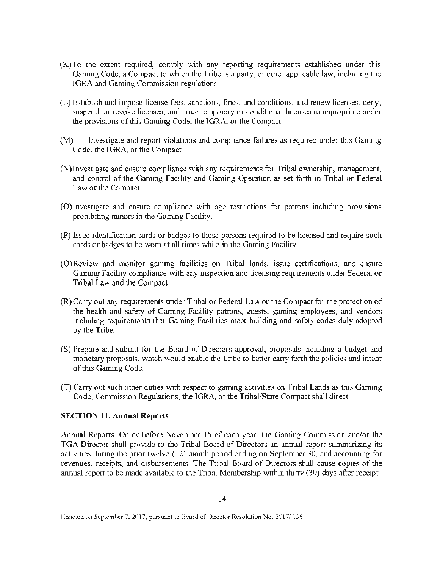- (K)To the extent required, comply with any reporting requirements established under this Gaming Code, a Compact to which the Tribe is a party, or other applicable law, including the IGRA and Gaming Commission regulations.
- (L) Establish and impose license fees, sanctions, fines, and conditions, and renew licenses; deny, suspend, or revoke licenses; and issue temporary or conditional licenses as appropriate under the provisions of this Gaming Code, the TGRA, or the Compact.
- (M) Investigate and report violations and compliance failures as required under this Gaming Code, the IGRA, or the Compact.
- (N)Investigate and ensure compliance with any requirements for Tribal ovvnership, management, and control of the Gaming Facility and Gaming Operation as set forth in Tribal or Federal Law or the Compact.
- (O)Investigate and ensure compliance with age restrictions for patrons including provisions prohibiting minors in the Gaming Facility.
- (P) Issue identification cards or badges to those persons required to be licensed and require such cards or badges to be worn at all times while in the Gaming Facility.
- (Q)Review and monitor gaming facilities on Tribal lands, issue certifications, and ensure Gaming Facility compliance with any inspection and licensing requirements under Federal or Tribal Law and the Compact.
- (R)Carry out any requirements under Tribal or Federal Law or the Compact for the protection of the health and safety of Gaming Facility patrons, guests, gaming employees, and vendors including requirements that Gaming Facilities meet building and safety codes duly adopted by the Tribe.
- (S) Prepare and submit for the Board of Directors approval, proposals including a budget and monetary proposals, which would enable the Tribe to better cany forth the policies and intent of this Gaming Code.
- (T) Carry out such other duties with respect to gaming activities on Tribal Lands as this Gaming Code, Commission Regulations, the IGRA, or the Tribal/State Compact shall direct.

## SECTION 11. Annual Reports

Annual Reports. On or before November 15 of each year, the Gaming Commission and/or the TGA Director shall provide to the Tribal Board of Directors an annual report summarizing its activities during the prior twelve (12) month period ending on September 30, and accounting for revenues, receipts, and disbursements. The Tribal Board of Directors shall cause copies of the annual report to be made available to the Tribal Membership within thirty (30) days after receipt.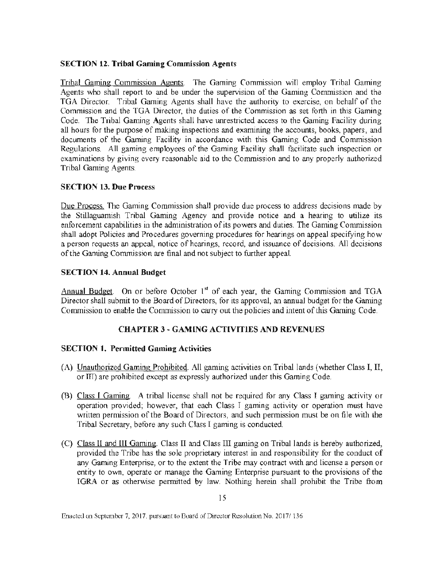## **SECTION 12. Tribal Gaming Commission Agents**

Tribal Gaming Commission Agents. The Gaming Commission will employ Tribal Gaming Agents who shall report to and be under the supervision of the Gaming Commission and the TGA Director. Tribal Gaming Agents shall have the authority to exercise, on behalf of the Commission and the TGA Director, the duties of the Commission as set forth in this Gaming Code. The Tribal Gaming Agents shall have unrestricted access to the Gaming Facility during all hours for the purpose of making inspections and examining the accounts, books, papers, and documents of the Gaming Facility in accordance with this Gaming Code and Commission Regulations. All gaming employees of the Gaming Facility shall facilitate such inspection or examinations by giving every reasonable aid to the Commission and to any properly authorized Tribal Gaming Agents.

## SECTION 13. Due Process

Due Process. The Gaming Commission shall provide due process to address decisions made by the Stillaguamish Tribal Gaming Agency and provide notice and a hearing to utilize its enforcement capabilities in the administration of its powers and duties. The Gaming Commission shall adopt Policies and Procedures governing procedures for hearings on appeal specifying how a person requests an appeal, notice of hearings, record, and issuance of decisions. All decisions of the Gaming Conunission are final and not subject to further appeal.

## SECTION 14. Annual Budget

Annual Budget. On or before October  $1<sup>st</sup>$  of each year, the Gaming Commission and TGA Director shall submit to the Board of Directors, for its approval, an annual budget for the Gaming Commission to enable the Commission to carry out the policies and intent of this Gaming Code.

## CHAPTER 3 ~GAMING ACTIVITIES AND REVENUES

## SECTION 1. Permitted Gaming Activities

- (A) Unauthorized Gaming Prohibited. All gaming activities on Tribal lands (whether Class I, II, or ITT) are prohibited except as expressly authorized under this Gaming Code.
- (B) Class I Gaming. A tribal license shall not be required for any Class I gaming activity or operation provided; however, that each Class I gaming activity or operation must have written permission of the Board of Directors, and such permission must be on file with the Tribal Secretary, before any such Class I gaming is conducted.
- (C) Class lI and III Gaming. Class II and Class III gaming on Tribal lands is hereby authorized, provided the Tribe has the sole proprietary interest in and responsibility for the conduct of any Gaming Enterprise, or to the extent the Tribe may contract with and license a person or entity to own, operate or manage the Gaming Enterprise pursuant to the provisions of the IGRA or as otherwise permitted by law. Nothing herein shall prohibit the Tribe from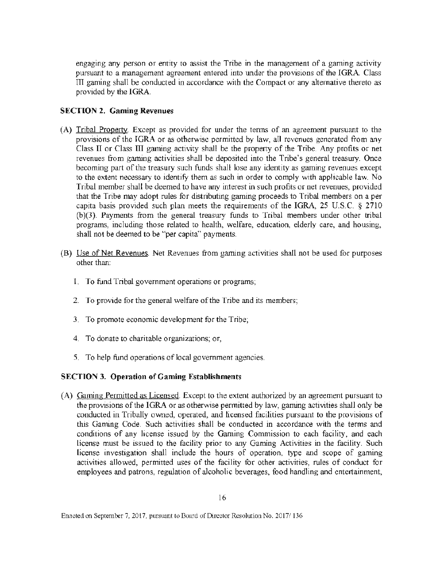engaging any person or entity to assist the Tribe in the management of a gaming activity pursuant to a management agreement entered into under the provisions of the IGRA. Class m gaming shall be conducted in accordance with the Compact or any alternative thereto *as*  provided by the IGRA.

## SECTION 2. Gaming Revenues

- (A) Tribal Property. Except as provided for under the terms of an agreement pursuant to the provisions of the IGRA or as otherwise permitted by law, all revenues generated from any Class II or Class Ill gaming activity shall be the property of the Tribe. Any profits or net revenues from gaming activities shall be deposited into the Tribe's general treasury. Once becoming part of the treasury such funds shall lose any identity as gaming revenues except to the extent necessary to identify them as such in order to comply with applicable law. No Tribal member shall be deemed to have any interest in such profits or net revenues, provided that the Tribe may adopt rules for distributing gaming proceeds to Tribal members on a per capita basis provided such plan meets the requirements of the IGRA, 25 U.S.C. § 2710 (b)(3). Payments from the general treasury funds to Tribal members under other tribal programs, including those related to health, welfare, education, elderly care, and housing, shall not be deemed to be "'per capita" payments.
- (B) Use of Net Revenues. Net Revenues from gaming activities shall not be used for purposes other than:
	- I. To fund Tribal government operations or programs;
	- 2. To provide for the general welfare of the Tribe and its members;
	- 3. To promote economic development for the Tribe;
	- 4. To donate to charitable organizations; or,
	- 5. To help fund operations of local government agencies.

# SECTION 3. Operation of Gaming Establishments

(A) Gaming Permitted as Licensed. Except to the extent authorized by an agreement pursuant to the provisions of the IGRA or as otherwise permitted by law, gaming activities shall only be conducted in Tribally o\vned, operated, and licensed facilities pursuant to the provisions of this Gaming Code. Such activities shall be conducted in accordance with the tenns and conditions of any license issued by the Gaming Commission to each facility, and each license must be issued to the facility prior to any Gaming Activities in the facility. Such license investigation shall include the hours of operation, type and scope of gaming activities allowed, permitted uses of the facility for other activities, rules of conduct for employees and patrons, regulation of alcoholic beverages, food handling and entertainment,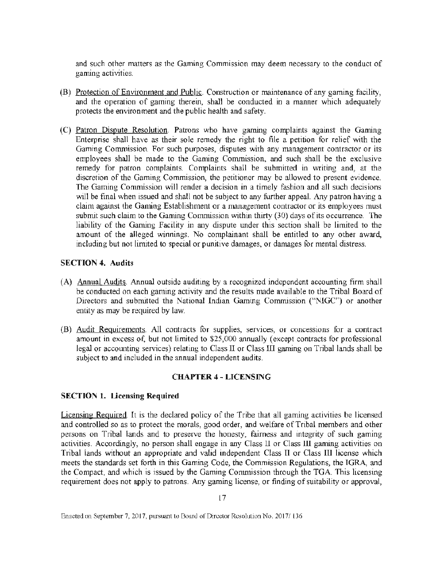and such other matters as the Gaming Commission may deem necessary to the conduct of gaming activities.

- (B) Protection of Environment and Public. Construction or maintenance of any gaming facility, and the operation of gaming therein, shall be conducted in a manner which adequately protects the environment and the public health and safety.
- (C) Patron Dispute Resolution. Patrons who have gaming complaints against the Gaming Enterprise shall have as their sole remedy the right to file a petition for relief \vlth the Gaming Commission. For such purposes, disputes with any management contractor or its employees shall be made to the Gaming Commission, and such shall be the exclusive remedy for patron complaints. Complaints shall be submitted in writing and, at the discretion of the Gaming Commission, the petitioner may be allowed to present evidence. The Gaming Commission will render a decision in a timely fashion and all such decisions will be final when issued and shall not be subject to any further appeal. Any patron having a claim against the Gaming Establishment or a management contractor or its employees must submit such claim to the Gaming Commission within thirty (30) days of its occurrence. The liability of the Gaming Facility in any dispute under this section shall be limited to the amount of the alleged winnings. No complainant shall be entitled to any other award, including but not limited to special or punitive damages, or damages for mental distress.

#### SECTION 4. Audits

- (A) Annual Audits. Annual outside auditing by a recognized independent accounting firm shall be conducted on each gaming activity and the results made available to the Tribal Board of Directors and submitted the National Indian Gaming Commission ("NIGC") or another entity as may be required by law.
- (B) Audit Reguirements. All contracts for supplies, services, or concessions for a contract amount in excess of, but not limited to \$25,000 annually (except contracts for professional legal or accounting services) relating to Class II or Class III gaming on Tribal lands shall be subject to and included in the annual independent audits.

## CHAPTER 4 - LICENSING

## SECTION 1. Licensing Required

Licensing Required. It is the declared policy of the Tribe that all gaming activities be licensed and controlled so as to protect the morals, good order, and welfare of Tribal members and other persons on Tribal lands and to preserve the honesty, fairness and integrity of such gaming activities. Accordingly, no person shall engage in any Class ll or Class lll gaming activities on Tribal lands without an appropriate and valid independent Class II or Class III license which meets the standards set forth in this Gaming Code, the Commission Regulations, the TGRA, and the Compact, and which is issued by the Gaming Commission through the TGA. This licensing requirement does not apply to patrons. Any gaming license, or finding of suitability or approval,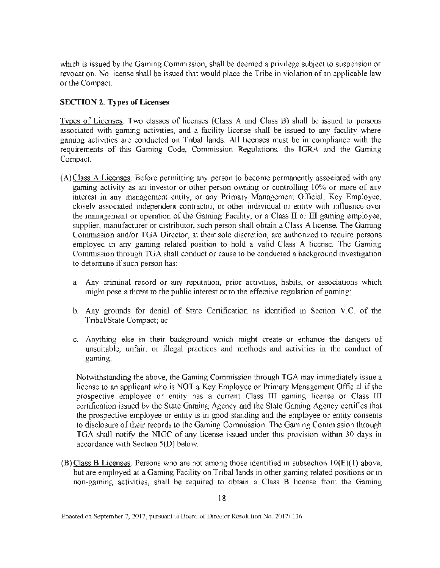which is issued by the Gaming Commission, shall be deemed a privilege subject to suspension or revocation. No license shall be issued that would place the Tribe in violation of an applicable law or the Compact.

## SECTION 2. Types of Licenses

Types of Licenses. Two classes of licenses (Class A and Class B) shall be issued to persons associated with gaming activities, and a facility license shall be issued to any facility where gaming activities are conducted on Tribal lands. All licenses must be in compliance with the requirements of this Gaming Code, Commission Regulations, the TGRA and the Gaming Compact.

- (A) Class A Licenses. Before permitting any person to become permanently associated with any gaming activity as an investor or other person owning or controlling 10% or more of any interest in any management entity, or any Primary Management Official, Key Employee, closely associated independent contractor, or other individual or entity with influence over the management or operation of the Gaming Facility, or a Class II or III gaming employee, supplier, manufacturer or distributor, such person shall obtain a Class A license. The Gaming Commission and/or TGA Director, at their sole discretion, are authorized to require persons employed in any gaming related position to hold a valid Class A license. The Gaming Commission through TGA shall conduct or cause to be conducted a background investigation to determine if such person has:
	- a. Any criminal record or any reputation, prior activities, habits, or associations which might pose a threat to the public interest or to the effective regulation of gaming;
	- b. Any grounds for denial of State Certification as identified in Section V.C. of the Tribal/State Compact; or
	- c. Anything else in their background which might create or enhance the dangers of unsuitable, unfair, or illegal practices and methods and activities in the conduct of gaming.

Notwithstanding the above, the Gaming Commission through TGA may immediately issue a license to an applicant who is NOT a Key Employee or Primary Management Official if the prospective employee or entity has a current Class TIT gaming license or Class III certification issued by the State Gaming Agency and the State Gaming Agency certifies that the prospective employee or entity is in good standing and the employee or entity consents to disclosure of their records to the Gaming Commission. The Gaming Commission through TGA shall notify the NIGC of any license issued under this provision within 30 days in accordance with Section S(D) below.

(B) Class B Licenses. Persons who are not among those identified in subsection lO(E)( l) above, but are employed at a Gaming Facility on Tribal lands in other gaming related positions or in non-gaming activities, shall be required to obtain a Class B license from the Gaming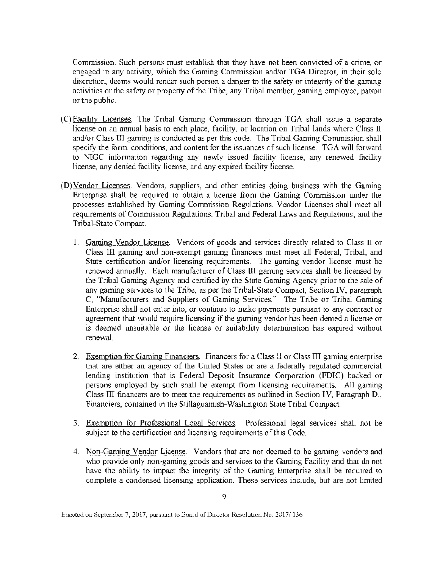Commission. Such persons must establish that they have not been convicted of a crime, or engaged in any activity, which the Gaming Commission and/or TGA Director, in their sole discretion, deems would render such person a danger to the safety or integrity of the gaming activities or the safety or property of the Tribe, any Tribal member, gaming employee, patron or the public.

- (C) Facility Licenses. The Tribal Gaming Conunission through TGA shall issue a separate license on an annual basis to each place, facility, or location on Tribal lands where Class **ll**  and/or Class III gaming is conducted as per this code. The Tribal Gaming Commission shall specify the form, conditions, and content for the issuances of such license. TGA will forward to NIGC information regarding any newly issued facility license, any renewed facility license, any denied facility license, and any expired facility license.
- (D) Vendor Licenses. Vendors, suppliers, and other entities doing business with the Gaming Enterprise shall be required to obtain a license from the Gaming Commission under the processes established by Gaming Commission Regulations. Vendor Licenses shall meet all requirements of Commission Regulations, Tribal and Federal Laws and Regulations, and the Tribal-State Compact.
	- I. Gaming Vendor License. Vendors of goods and services directly related to Class ll or Class Ill gaming and non-exempt gaming financers must meet all federal, Tribal, and State certification and/or licensing requirements. The gaming vendor license must be renewed annually. Each manufacturer of Class **lTI** gaming services shall be licensed by the Tribal Gaming Agency and certified by the State Gaming Agency prior to the sale of any gaming services to the Tribe, as per the Tribal-State Compact, Section lV, paragraph C, "Manufacturers and Suppliers of Gaming Services." The Tribe or Tribal Gaming Enterprise shall not enter into, or continue to make payments pursuant to any contract or agreement that would require licensing if the gaming vendor has been denied a license or is deemed unsuitable or the license or suitability determination has expired without renewal.
	- 2. Exemption for Gaming Financiers. Financers for a Class II or Class III gaming enterprise that are either an agency of the United States or are a federally regulated commercial lending institution that is Federal Deposit Insurance Corporation (FDIC) backed or persons employed by such shall be exempt from licensing requirements. All gaming Class ITT financers are to meet the requirements as outlined in Section IV, Paragraph **D.,**  Financiers, contained in the Stillaguamish-Washington State Tribal Compact.
	- 3. Exemption for Professional Legal Services. Professional legal services shall not be subject to the certification and licensing requirements of this Code.
	- 4. Non-Gaming Vendor License. Vendors that are not deemed to be gaming vendors and who provide only non-gaming goods and services to the Gaming Facility and that do not have the ability to impact the integrity of the Gaming Enterprise shall be required to complete a condensed licensing application. These services include, but are not limited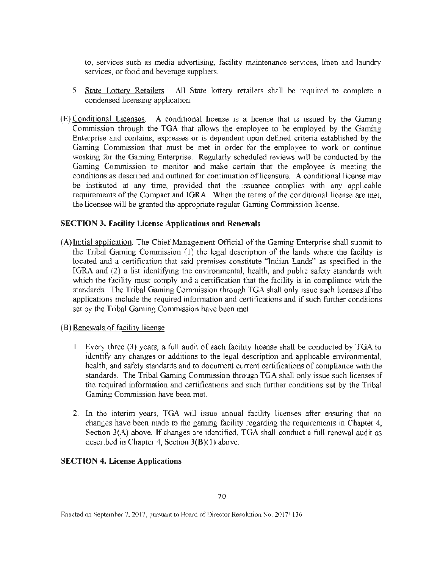to, services such as media advertising, facility maintenance services, linen and laundry services, or food and beverage suppliers.

- 5. State Lottery Retailers. All State lottery retailers shall be required to complete a condensed licensing application.
- (E) Conditional Licenses. A conditional license is a license that is issued by the Gaming Commission through the TGA that allows the employee to be employed by the Gaming Enterprise and contains, expresses or is dependent upon defined criteria established by the Gaming Commission that must be met in order for the employee to work or continue working for the Gaming Enterprise. Regularly scheduled reviews will be conducted by the Gaming Commission to monitor and make certain that the employee is meeting the conditions as described and outlined for continuation of licensure. A conditional license may be instituted at any time, provided that the issuance complies with any applicable requirements of the Compact and IGRA. When the terms of the conditional license are met, the licensee will be granted the appropriate regular Gaming Commission license.

#### SECTION 3. Facility License Applications and Renewals

- (A) Initial application. The Chief Management Official of the Gaming Enterprise shall submit to the Tribal Gaming Commission ( l) the legal description of the lands where the facility is located and a certification that said premises constitute "Indian Lands" as specified in the IGRA and (2) a list identifying the environmental, health, and public safety standards with which the facility must comply and a certification that the facility is in compliance with the standards. The Tribal Gaming Commission through TGA shall only issue such licenses if the applications include the required information and certifications and if such further conditions set by the Tribal Gaming Commission have been met.
- (B) Renewals of facil ity license.
	- I. Every three (3) years, a full audit of each facility license shall be conducted by TGA to identify any changes or additions to the legal description and applicable environmental, health, and safety standards and to document current certifications of compliance with the standards. The Tribal Gaming Commission through TGA shall only issue such licenses if the required information and certifications and such further conditions set by the Tribal Gaming Commission have been met.
	- 2. In the interim years, TGA will issue annual facility licenses after ensuring that no changes have been made to the gaming facility regarding the requirements in Chapter 4, Section 3(A) above. If changes are identified, TGA shall conduct a full renewal audit as described in Chapter 4, Section 3(B)( l) above.

#### SECTION 4. License Applications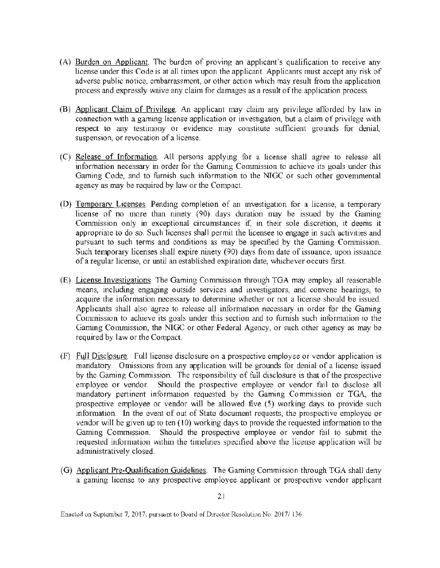- (A) Burden on Applicant. The burden of proving an applicant's qualification to receive any license under this Code is at all times upon the applicant. Applicants must accept any risk of adverse public notice, embarrassment, or other action which may result from the application process and expressly waive any claim for damages as a result of the application process.
- (B) Applicant Claim of Privilege. An applicant may claim any privilege afforded by law in connection with a gaming license application or investigation, but a claim of privilege with respect to any testimony or evidence may constitute sufficient grounds for denial, suspension, or revocation of a license.
- (C) Release of Information. All persons applying for a license shall agree to release all information necessary in order for the Gaming Commission to achieve its goals under this Gaming Code, and to furnish such information to the NTGC or such other governmental agency as may be required by law or the Compact.
- (D) Temporary Licenses. Pending completion of an investigation for a license, a temporary license of no more than ninety (90) days duration may be issued by the Gaming Commission only in exceptional circumstances if, in their sole discretion, it deems it appropriate to do so. Such licenses shall permit the licensee to engage in such activities and pursuant to such terms and conditions as may be specified by the Gaming Corrunission. Such temporary licenses shall expire ninety (90) days from date of issuance, upon issuance of a regular license, or until an established expiration date, whichever occurs first.
- (E) License Investigations. The Gaming Commission through TGA may employ all reasonable means, including engaging outside services and investigators, and convene hearings, to acquire the information necessary to determine whether or not a license should be issued. Applicants shall also agree to release all information necessary in order for the Gaming Commission to achieve its goals under this section and to furnish such information to the Gaming Commission, the NIGC or other Federal Agency, or such other agency as may be required by law or the Compact.
- (F) Full Disclosure. Full license disclosure on a prospective employee or vendor application is mandatory. Omissions from any application will be grounds for denial of a license issued by the Gaming Commission. The responsibility of full disclosure is that of the prospective employee or vendor. Should the prospective employee or vendor fail to disclose all mandatory pertinent information requested by the Gaming Commission or TGA, the prospective employee or vendor will be allowed five (5) working days to provide such information. In the event of out of State document requests, the prospective employee or vendor will be given up to ten (10) working days to provide the requested information to the Gaming Commission. Should the prospective employee or vendor fail to submit the requested information within the timelines specified above the license application will be administratively closed.
- (G) Applicant Pre-Qualification Guidelines. The Gaming Commission through TGA shall deny a gaming license to any prospective employee applicant or prospective vendor applicant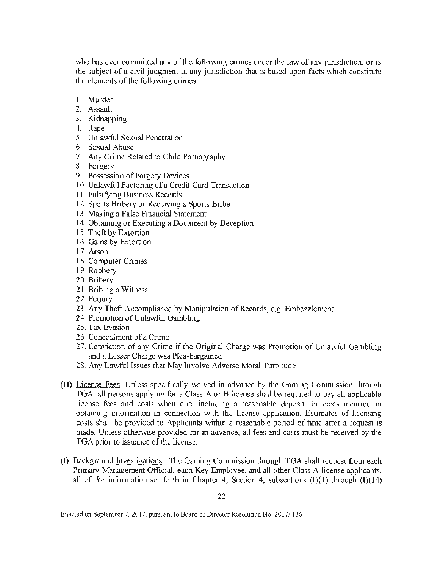who has ever committed any of the following crimes under the law of any jurisdiction, or is the subject of a civil judgment in any jurisdiction that is based upon facts which constitute the elements of the following crimes:

- 1. Murder
- 2. Assault
- 3. Kidnapping
- 4. Rape
- 5. Unlawful Sexual Penetration
- 6. Sexual Abuse
- 7. Any Crime Related to Child Pornography
- 8. Forgery
- 9. Possession of Forgery Devices
- 10. Unlawful Factoring of a Credit Card Transaction
- 11. Falsifying Business Records
- 12. Sports Bribery or Receiving a Sports Bribe
- 13. Making a False Financial Statement
- 14. Obtaining or Executing a Document by Deception
- 15. Theft by Extortion
- 16. Gains by Extortion
- 17. Arson
- 18. Computer Crimes
- 19. Robbery
- 20. Bribery
- 21. Bribing a Witness
- 22. Perjury
- 23. Any Theft Accomplished by Manipulation of Records, e.g. Embezzlement
- 24. Promotion of Unlawful Gambling
- 25. Tax Evasion
- 26. Concealment of a Crime
- 27. Conviction of any Crime if the Original Charge was Promotion of Unlawful Gambling and a Lesser Charge was Plea-bargained
- 28. Any Lawful Issues that May Involve Adverse Moral Turpitude
- (H) License Fees. Unless specifically waived in advance by the Gaming Commission through TGA, all persons applying for a Class A or B license shall be required to pay all applicable license fees and costs when due, including a reasonable deposit for costs incurred in obtaining information in connection with the license application. Estimates of licensing costs shall be provided to Applicants within a reasonable period of time after a request is made. Unless otherwise provided for in advance, all fees and costs must be received by the TGA prior to issuance of the license.
- (I) Background Investigations. The Gaming Commission through TGA shall request from each Primary Management Official, each Key Employee, and all other Class A license applicants, all of the information set forth in Chapter 4, Section 4, subsections  $(I)(1)$  through  $(I)(14)$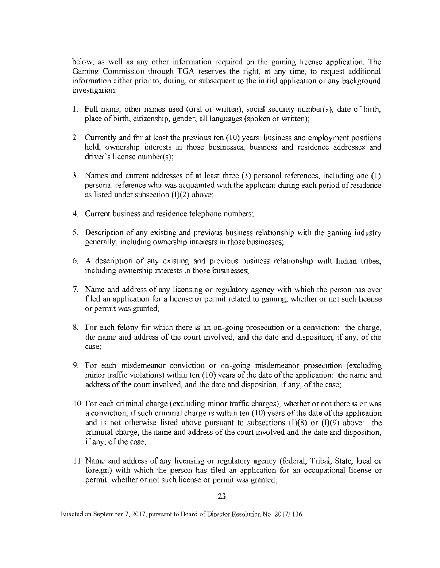below, as well as any other information required on the gaming license application. The Gaming Commission through TGA reserves the right. at any time, to request additional information either prior to, during, or subsequent to the initial application or any background investigation.

- 1. Full name, other names used (oral or written), social security number(s), date of birth, place of birth, citizenship, gender, all languages (spoken or written);
- 2. Currently and for at least the previous ten (10) years; business and employment positions held, ownership interests in those businesses, business and residence addresses and driver's license number(s);
- 3. Names and current addresses of at least three (3) personal references, including one (I) personal reference who was acquainted with the applicant during each period of residence as listed under subsection (1)(2) above;
- 4. Current business and residence telephone numbers;
- 5. Description of any existing and previous business relationship with the gaming industry generally, including ownership interests in those businesses;
- 6. A description of any existing and previous business relationship with Indian tribes, including ownership interests in those businesses;
- 7. Name and address of any licensing or regulatory agency with which the person has ever filed an application for a license or permit related to gaming, whether or not such license or permit was granted;
- 8. For each felony for which there is an on-going prosecution or a conviction: the charge, the name and address of the court involved, and the date and disposition, if any, of the case;
- 9. For each misdemeanor conviction or on-going misdemeanor prosecution (excluding minor traffic violations) within ten (10) years of the date of the application: the name and address of the court involved, and the date and disposition, if any, of the case;
- l 0. For each criminal charge (excluding minor traffic charges), whether or not there is or was a conviction, if such criminal charge is within ten (10) years of the date of the application and is not otherwise listed above pursuant to subsections  $(I)(8)$  or  $(I)(9)$  above: the criminal charge, the name and address of the cowt involved and the date and disposition, if any, of the case;
- 11. Name and address of any licensing or regulatory agency (federal, Tribal, State, local or foreign) with which the person has filed an application for an occupational license or permit, whether or not such license or permit was granted;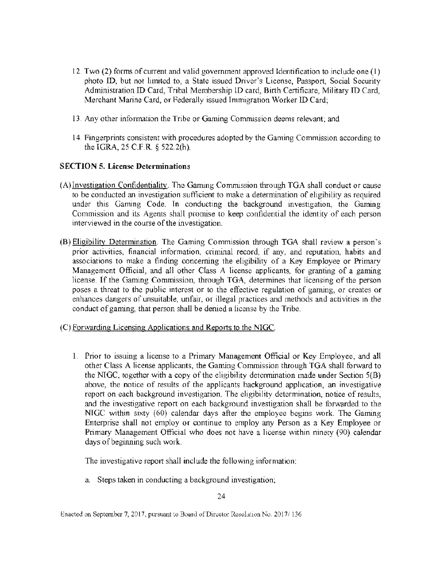- 12. Two (2) forms of current and valid government approved Identification to include one ( l) photo ID, but not limited to, a State issued Driver's License, Passport, Social Security Administration ID Card, Tribal Membership ID card, Birth Certificate, Military ID Card, Merchant Marine Card, or Federally issued Immigration Worker ID Card;
- 13. Any other information the Tribe or Gaming Commission deems relevant; and
- 14. Fingerprints consistent with procedures adopted by the Gaming Commission according to the IGRA, 25 C.F.R. § 522.2(h).

#### SECTION 5. License Determinations

- (A)Investigation Confidentiality. The Gaming Corrunission through TGA shall conduct or cause to be conducted an investigation sufficient to make a determination of eligibility as required under this Gaming Code. In conducting the background investigation, the Gaming Commission and its Agents shall promise to keep confidential the identity of each person interviewed in the course of the investigation.
- (B) Eligibility Determination. The Gaming Commission through TGA shall review a person's prior activities, financial information, criminal record, if any, and reputation, habits and associations to make a finding concerning the eligibility of a Key Employee or Primary Management Official, and all other Class A license applicants, for granting of a gaming license. If the Gaming Commission, through TGA, determines that licensing of the person poses a threat to the public interest or to the effective regulation of gaming, or creates or enhances dangers of unsuitable, unfair, or illegal practices and methods and activities in the conduct of gaming, that person shall be denied a license by the Tribe.
- (C) Forwarding Licensing Applications and Reports to the NIGC.
	- 1. Prior to issuing a license to a Primary Management Official or Key Employee, and all other Class A license applicants, the Gaming Commission through TGA shall forward to the NTGC, together with a copy of the eligibility detennination made under Section 5(B) above, the notice of results of the applicants background application, an investigative report on each background investigation. The eligibility determination, notice of results, and the investigative report on each background investigation shall be forwarded to the NTGC within sixty (60) calendar days after the employee begins work. The Gaming Enterprise shall not employ or continue to employ any Person as a Key Employee or Primary Management Official who does not have a license within ninety (90) calendar days of beginning such work.

The investigative report shall include the following information:

a. Steps taken in conducting a background investigation;

Enacted on September 7, 2017, pursuant to Board of Director Resolution No. 2017/136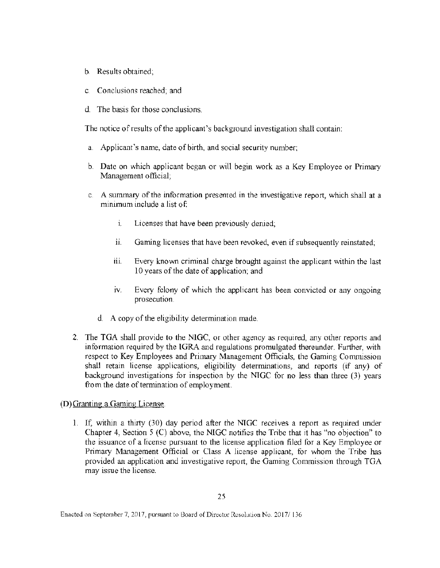- b. Results obtained;
- c. Conclusions reached; and
- d. The basis for those conclusions.

The notice of results of the applicant's background investigation shall contain:

- a. Applicant's name, date of birth, and social security number;
- b. Date on which applicant began or will begin work as a Key Employee or Primary Management official;
- c. A summary of the information presented in the investigative report, which shall at a minimum include a list of
	- i. Licenses that have been previously denied;
	- i. Gaming licenses that have been revoked, even if subsequently reinstated;
	- iii. Every known criminal charge brought against the applicant within the last 10 years of the date of application; and
	- iv. Every felony of which the applicant has been convicted or any ongoing prosecution.
	- d. A copy of the ehgibility determination made.
- 2. The TGA shall provide to the NlGC, or other agency as required, any other reports and information required by the IGRA and regulations promulgated thereunder. Further, with respect to Key Employees and Primary Management Officials, the Gaming Commission shall retain license applications, eligibility determinations, and reports (if any) of background investigations for inspection by the NTGC for no less than three (3) years from the date of termination of employment.

#### (D)Granting a Gaming Ljcense.

1. If, within a thirty (30) day period after the NTGC receives a report as required under Chapter 4, Section 5 (C) above, the NIGC notifies the Tribe that it has "no objection" to the issuance of a license pursuant to the license application filed for a Key Employee or Primary Management Official or Class A license applicant, for whom the Tribe has provided an application and investigative report, the Gaming Commission through TGA may issue the license.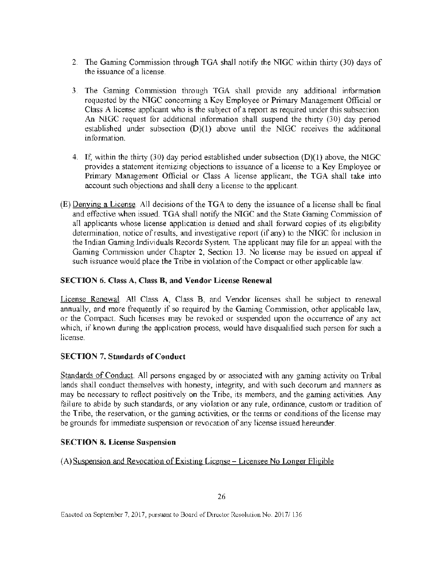- 2. The Gaming Commission through TGA shall notify the NTGC within thirty (30) days of the issuance of a license.
- 3. The Gaming Commission through TGA shall provide any additional information requested by the NTGC concerning a Key Employee or Primary Management Official or Class A license applicant who is the subject of a report as required under this subsection. An NIGC request for additional information shall suspend the thirty (30) day period established under subsection  $(D)(1)$  above until the NIGC receives the additional information.
- 4. If, within the thirty (30) day period established under subsection (D)(l) above, the NIGC provides a statement itemizing objections to issuance of a license to a Key Employee or Primary Management Official or Class A license applicant, the TGA shall take into account such objections and shall deny a license to the applicant.
- (E)Denying a License. All decisions of the TGA to deny the issuance of a license shall be final and effective when issued. TGA shall notify the NIGC and the State Gaming Commission of all applicants whose license application is denied and shall forward copies of its eligibility determination, notice of results, and investigative report (if any) to the NIGC for inclusion in the Indian Gaming Individuals Records System. The applicant may file for an appeal with the Gaming Commission under Chapter 2, Section 13. No license may be issued on appeal if such issuance would place the Tribe in violation of the Compact or other applicable law.

## SECTION 6. Class A, Class B, and Vendor License Renewal

License Renewal. AH Class A, Class B, and Vendor licenses shall be subject to renewal annually, and more frequently if so required by the Gaming Commission, other applicable law, or the Compact. Such licenses may be revoked or suspended upon the occurrence of any act which, if known during the application process, would have disqualified such person for such a license.

## SECTION 7. Standards of Conduct

Standards of Conduct. All persons engaged by or associated with any gaming activity on Tribal lands shall conduct themselves with honesty, integrity, and with such decorum and manners as may be necessary to reflect positively on the Tribe, its members, and the gaming activities. Any failure to abide by such standards, or any violation or any rule, ordinance, custom or tradition of the Tribe, the reservation, or the gaming activities, or the terms or conditions of the license may be grounds for immediate suspension or revocation of any license issued hereunder.

## SECTION 8. License Suspension

(A) Suspension and Revocation of Existing License - Licensee No Longer Eligible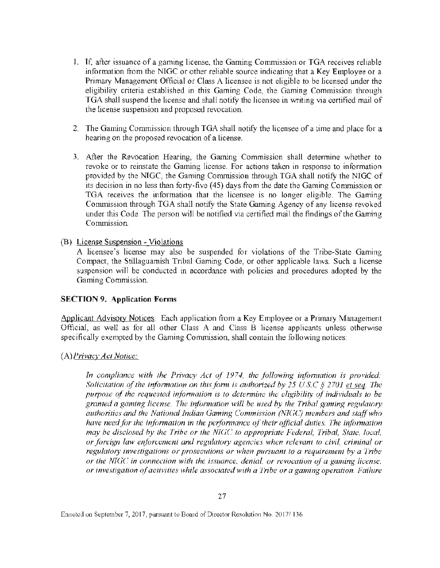- I. If, after issuance of a gaming license, the Gaming Corrunission or TGA receives reliable information from the NIGC or other reliable source indicating that a Key Employee or a Primary Management Official or Class A licensee is not eligible to be licensed under the eligibility criteria established in this Gaming Code, the Gaming Commission through TGA shall suspend the license and shall notify the licensee in writing via certified mail of the license suspension and proposed revocation.
- 2. The Gaming Commission through TGA shall notify the licensee of a time and place for a hearing on the proposed revocation of a license.
- 3. After the Revocation Hearing, the Gaming Commission shall determine whether to revoke or to reinstate the Gaming license. For actions taken in response to information provided by the NTGC, the Gaming Commission through TGA shall notify the NIGC of its decision in no less than forty-five (45) days from the date the Gaming Commission or TGA receives the information that the licensee is no longer eligible. The Gaming Commission through TGA shall notify the State Gaming Agency of any license revoked under this Code. The person will be notified via certified mail the findings of the Gaming Commission.
- (B) License Suspension Violations

A licensee's license may also be suspended for violations of the Tribe-State Gaming Compact, the Stillaguamish Tribal Gaming Code, or other applicable laws. Such a license suspension will be conducted in accordance with policies and procedures adopted by the Gaming Commission.

#### SECTION 9. Application Forms

Applicant Advisory Notices. Each application from a Key Employee or a Primary Management Official, as well as for all other Class A and Class B license applicants unless otherwise specifically exempted by the Gaming Commission, shall contain the following notices:

(A) *Privacy A.er Notice:* 

In compliance with the Privacy Act of 1974, the following information is provided: *Solicitation of the information on this form is authorized by 25 U.S.C*  $\S$  *2701 et seq. The purpose of the requested information is to determine the eligibility of individuals to be* granted a gaming license. The information will be used by the Tribal gaming regulatory *authorities and the National Indian Gam;ng Commission* (NTGC) *members and stqff who have need for the information in the performance of their official duties. The information may he disclosed* by *the Tribe or 1he* NTGC *to appropriate Federal, Tribal, State. local. or foreign law enforcement and regulatory agencies when relevant to civil, criminal or regulatory investigations or prosecutions or when pursuant to a requirement by a Tribe or the NIGC in connection with the issuance, denial, or revocation of a gaming license. or investigation of activities while associated with a Tribe or a gaming operation. Failure*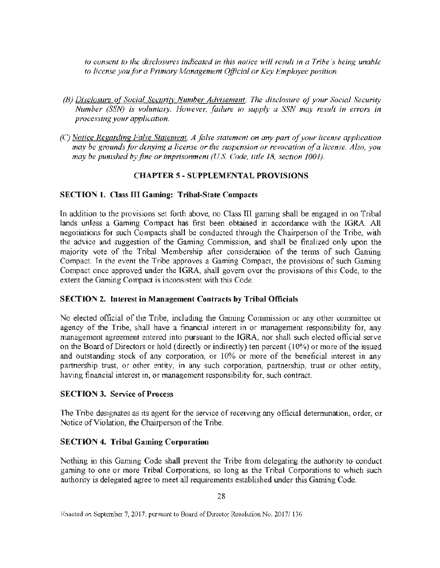*to consent to the disclosures indicated in this notice will result in a Tribe's being unable* to license you for a Primary Management Official or Key Employee position.

- *(B) Disclosure of Social Security Number Advisement. The disclosure of your Social Security Number (SSN) is volrmtaty. However, failure to supply a SSN may result in errors in proce.'ising your application.*
- *(C) Notice Regarding False Statement. A false statement on any part of your license application may be grounds for denying a license or the suspension or revocation of a license. Also, you may be punished by fine or imprisonment (U.S. Code, title 18, section 1001).*

## CHAPTER 5 - SUPPLEMENTAL PROVISIONS

#### SECTION l. Class III Gaming: Tribal-State Compacts

In addition to the provisions set forth above, no Class TU gaming shall be engaged in on Tribal lands unless a Gaming Compact has first been obtained in accordance with the lGRA All negotiations for such Compacts shall be conducted through the Chairperson of the Tribe, with the advice and suggestion of the Gaming Commission, and shall be finalized only upon the majority vote of the Tribal Membership after consideration of the terms of such Gaming Compact. In the event the Tribe approves a Gaming Compact, the provisions of such Gaming Compact once approved under the IGRA, shall govern over the provisions of this Code, to the extent the Gaming Compact is inconsistent with this Code.

#### SECTION 2. Interest in Management Contracts by Tribal Officials

No elected official of the Tribe, including the Gaming Commission or any other committee or agency of the Tribe, shall have a financial interest in or management responsibility for, any management agreement entered into pursuant to the IGRA, nor shall such elected official serve on the Board of Directors or hold (directly or indirectly) ten percent (10%) or more of the issued and outstanding stock of any corporation, or 10% or more of the beneficial interest in any partnership trust, or other entity, in any such corporation, partnership, trust or other entity, having financial interest in, or management responsibility for, such contract.

#### **SECTION 3. Service of Process**

The Tribe designates as its agent for the service of receiving any official determination, order, or Notice of Violation, the Chairperson of the Tribe.

## SECTION 4. Tribal Gaming Corporation

Nothing in this Gaming Code shall prevent the Tribe from delegating the authority to conduct gaming to one or more Tribal Corporations, so long as the Tribal Corporations to which such authority is delegated agree to meet all requirements established under this Gaming Code.

Enacted on September 7, 2017, pursuant to Board of Director Resolution No. 2017/136